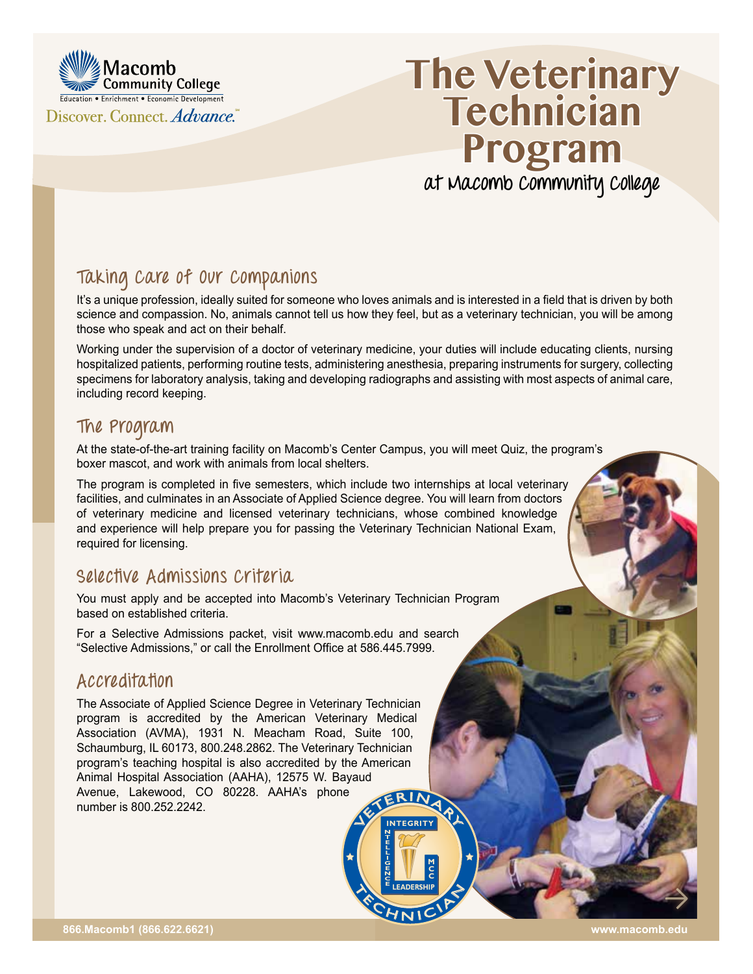

# **The Veterinary Technician Program at Macomb Community College**

# **Taking Care of Our Companions**

It's a unique profession, ideally suited for someone who loves animals and is interested in a field that is driven by both science and compassion. No, animals cannot tell us how they feel, but as a veterinary technician, you will be among those who speak and act on their behalf.

Working under the supervision of a doctor of veterinary medicine, your duties will include educating clients, nursing hospitalized patients, performing routine tests, administering anesthesia, preparing instruments for surgery, collecting specimens for laboratory analysis, taking and developing radiographs and assisting with most aspects of animal care, including record keeping.

E LEADERSHIP

**LEADERSHIP** 

**INTEGRITY**

**NTELLIGENCE**

#### **The Program**

At the state-of-the-art training facility on Macomb's Center Campus, you will meet Quiz, the program's boxer mascot, and work with animals from local shelters.

The program is completed in five semesters, which include two internships at local veterinary facilities, and culminates in an Associate of Applied Science degree. You will learn from doctors of veterinary medicine and licensed veterinary technicians, whose combined knowledge and experience will help prepare you for passing the Veterinary Technician National Exam, required for licensing.

### **Selective Admissions Criteria**

You must apply and be accepted into Macomb's Veterinary Technician Program based on established criteria.

For a Selective Admissions packet, visit [www.macomb.edu](http://www.macomb.edu) and search "Selective Admissions," or call the Enrollment Office at 586.445.7999.

### **Accreditation**

INTEGRITY The Associate of Applied Science Degree in Veterinary Technician program is accredited by the American Veterinary Medical Association (AVMA), 1931 N. Meacham Road, Suite 100, Schaumburg, IL 60173, 800.248.2862. The Veterinary Technician program's teaching hospital is also accredited by the American Animal Hospital Association (AAHA), 12575 W. Bayaud Avenue, Lakewood, CO 80228. AAHA's phone number is 800.252.2242.